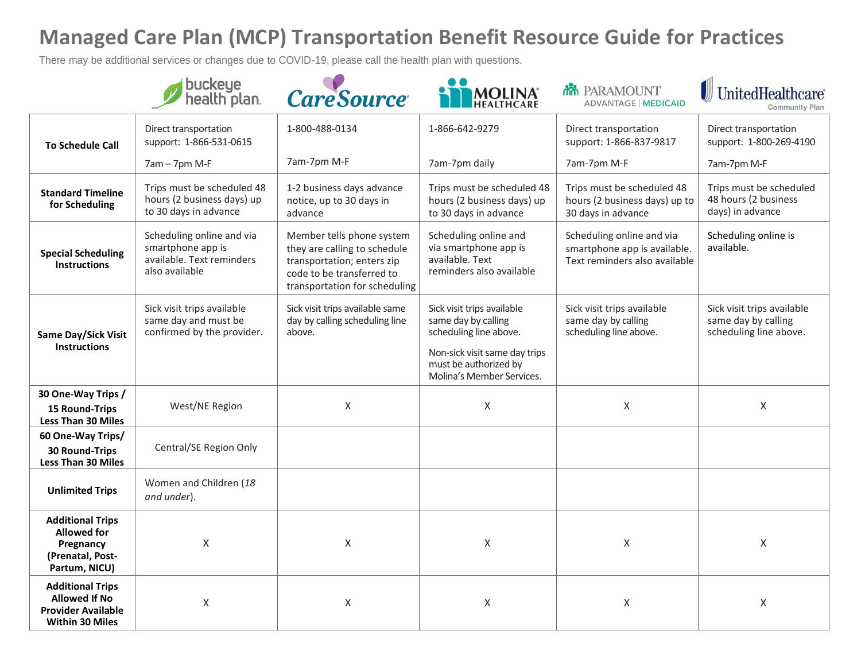There may be additional services or changes due to COVID-19, please call the health plan with questions.

|                                                                                                        | buckeye<br>health plan.                                                                       | <b>CareSource</b>                                                                                                                                     |                                                                                                                                                                    | <b>MM</b> PARAMOUNT<br><b>ADVANTAGE   MEDICAID</b>                                         | UnitedHealthcare®<br>Community Plan                                         |
|--------------------------------------------------------------------------------------------------------|-----------------------------------------------------------------------------------------------|-------------------------------------------------------------------------------------------------------------------------------------------------------|--------------------------------------------------------------------------------------------------------------------------------------------------------------------|--------------------------------------------------------------------------------------------|-----------------------------------------------------------------------------|
| <b>To Schedule Call</b>                                                                                | Direct transportation<br>support: 1-866-531-0615                                              | 1-800-488-0134                                                                                                                                        | 1-866-642-9279                                                                                                                                                     | Direct transportation<br>support: 1-866-837-9817                                           | Direct transportation<br>support: 1-800-269-4190                            |
|                                                                                                        | 7am - 7pm M-F                                                                                 | 7am-7pm M-F                                                                                                                                           | 7am-7pm daily                                                                                                                                                      | 7am-7pm M-F                                                                                | 7am-7pm M-F                                                                 |
| <b>Standard Timeline</b><br>for Scheduling                                                             | Trips must be scheduled 48<br>hours (2 business days) up<br>to 30 days in advance             | 1-2 business days advance<br>notice, up to 30 days in<br>advance                                                                                      | Trips must be scheduled 48<br>hours (2 business days) up<br>to 30 days in advance                                                                                  | Trips must be scheduled 48<br>hours (2 business days) up to<br>30 days in advance          | Trips must be scheduled<br>48 hours (2 business<br>days) in advance         |
| <b>Special Scheduling</b><br><b>Instructions</b>                                                       | Scheduling online and via<br>smartphone app is<br>available. Text reminders<br>also available | Member tells phone system<br>they are calling to schedule<br>transportation; enters zip<br>code to be transferred to<br>transportation for scheduling | Scheduling online and<br>via smartphone app is<br>available. Text<br>reminders also available                                                                      | Scheduling online and via<br>smartphone app is available.<br>Text reminders also available | Scheduling online is<br>available.                                          |
| Same Day/Sick Visit<br><b>Instructions</b>                                                             | Sick visit trips available<br>same day and must be<br>confirmed by the provider.              | Sick visit trips available same<br>day by calling scheduling line<br>above.                                                                           | Sick visit trips available<br>same day by calling<br>scheduling line above.<br>Non-sick visit same day trips<br>must be authorized by<br>Molina's Member Services. | Sick visit trips available<br>same day by calling<br>scheduling line above.                | Sick visit trips available<br>same day by calling<br>scheduling line above. |
| 30 One-Way Trips /<br><b>15 Round-Trips</b><br>Less Than 30 Miles                                      | West/NE Region                                                                                | $\mathsf X$                                                                                                                                           | $\mathsf{X}$                                                                                                                                                       | $\pmb{\times}$                                                                             | $\mathsf X$                                                                 |
| 60 One-Way Trips/<br>30 Round-Trips<br><b>Less Than 30 Miles</b>                                       | Central/SE Region Only                                                                        |                                                                                                                                                       |                                                                                                                                                                    |                                                                                            |                                                                             |
| <b>Unlimited Trips</b>                                                                                 | Women and Children (18<br>and under).                                                         |                                                                                                                                                       |                                                                                                                                                                    |                                                                                            |                                                                             |
| <b>Additional Trips</b><br><b>Allowed for</b><br>Pregnancy<br>(Prenatal, Post-<br>Partum, NICU)        | $\sf X$                                                                                       | X                                                                                                                                                     | $\mathsf{X}$                                                                                                                                                       | $\pmb{\times}$                                                                             | $\mathsf X$                                                                 |
| <b>Additional Trips</b><br><b>Allowed If No</b><br><b>Provider Available</b><br><b>Within 30 Miles</b> | X                                                                                             | X                                                                                                                                                     | $\mathsf{X}$                                                                                                                                                       | X                                                                                          | $\sf X$                                                                     |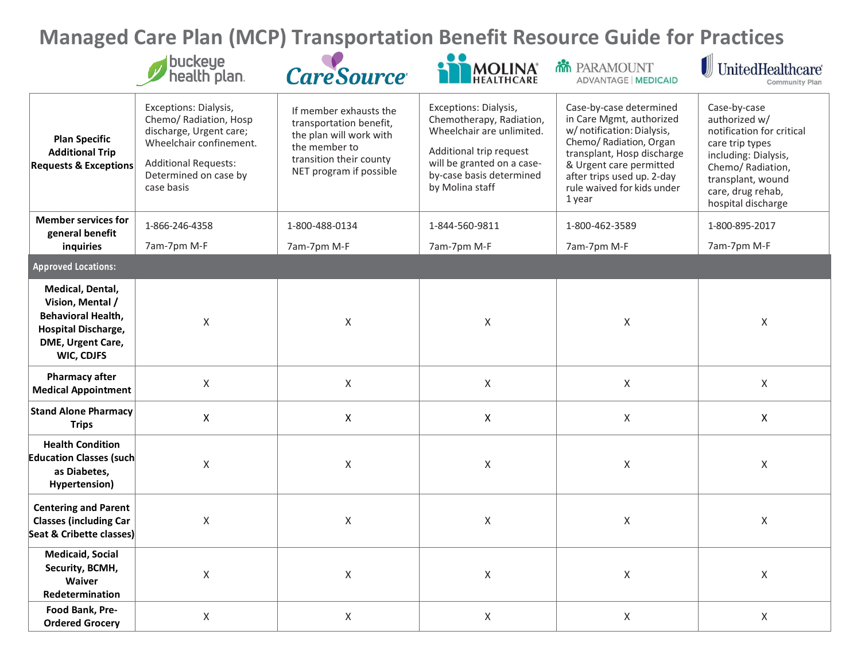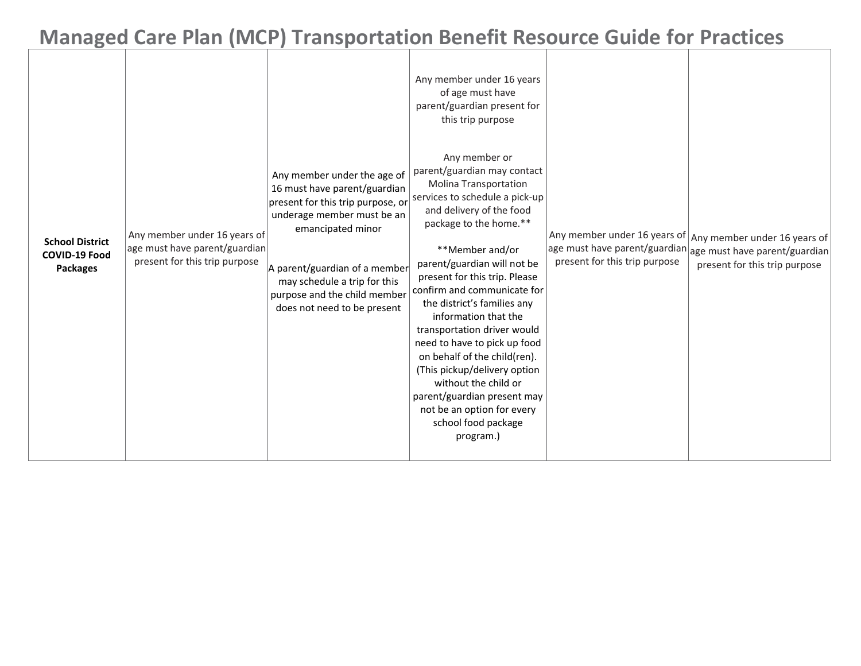| <b>School District</b><br><b>COVID-19 Food</b><br><b>Packages</b> | Any member under 16 years of<br>age must have parent/guardian<br>present for this trip purpose | Any member under the age of<br>16 must have parent/guardian<br>present for this trip purpose, or<br>underage member must be an<br>emancipated minor<br>A parent/guardian of a member<br>may schedule a trip for this<br>purpose and the child member<br>does not need to be present | Any member under 16 years<br>of age must have<br>parent/guardian present for<br>this trip purpose<br>Any member or<br>parent/guardian may contact<br><b>Molina Transportation</b><br>services to schedule a pick-up<br>and delivery of the food<br>package to the home.**<br>**Member and/or<br>parent/guardian will not be<br>present for this trip. Please<br>confirm and communicate for<br>the district's families any<br>information that the<br>transportation driver would<br>need to have to pick up food<br>on behalf of the child(ren).<br>(This pickup/delivery option<br>without the child or<br>parent/guardian present may<br>not be an option for every<br>school food package<br>program.) | Any member under 16 years of Any member under 16 years of<br>age must have parent/guardian<br>present for this trip purpose | age must have parent/guardian<br>present for this trip purpose |
|-------------------------------------------------------------------|------------------------------------------------------------------------------------------------|-------------------------------------------------------------------------------------------------------------------------------------------------------------------------------------------------------------------------------------------------------------------------------------|------------------------------------------------------------------------------------------------------------------------------------------------------------------------------------------------------------------------------------------------------------------------------------------------------------------------------------------------------------------------------------------------------------------------------------------------------------------------------------------------------------------------------------------------------------------------------------------------------------------------------------------------------------------------------------------------------------|-----------------------------------------------------------------------------------------------------------------------------|----------------------------------------------------------------|
|-------------------------------------------------------------------|------------------------------------------------------------------------------------------------|-------------------------------------------------------------------------------------------------------------------------------------------------------------------------------------------------------------------------------------------------------------------------------------|------------------------------------------------------------------------------------------------------------------------------------------------------------------------------------------------------------------------------------------------------------------------------------------------------------------------------------------------------------------------------------------------------------------------------------------------------------------------------------------------------------------------------------------------------------------------------------------------------------------------------------------------------------------------------------------------------------|-----------------------------------------------------------------------------------------------------------------------------|----------------------------------------------------------------|